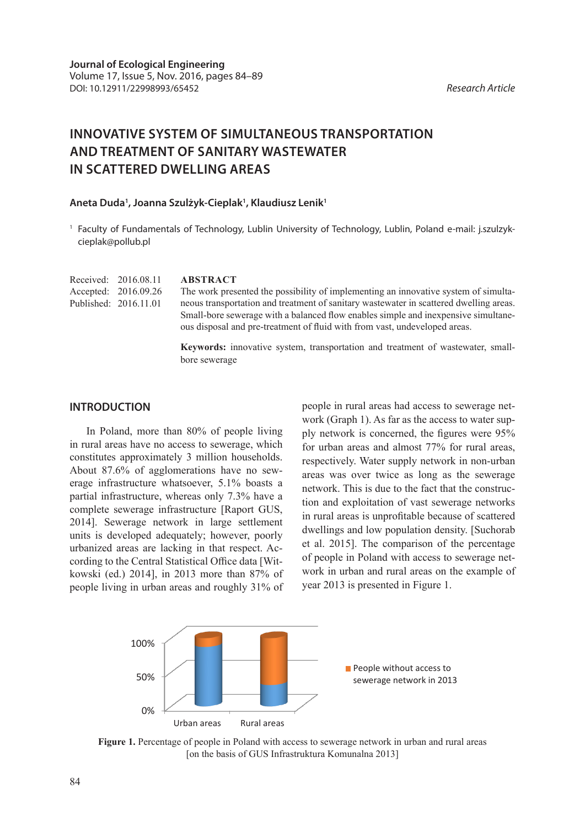# **INNOVATIVE SYSTEM OF SIMULTANEOUS TRANSPORTATION AND TREATMENT OF SANITARY WASTEWATER IN SCATTERED DWELLING AREAS**

#### **Aneta Duda1 , Joanna Szulżyk-Cieplak1 , Klaudiusz Lenik1**

<sup>1</sup> Faculty of Fundamentals of Technology, Lublin University of Technology, Lublin, Poland e-mail: j.szulzykcieplak@pollub.pl

**ABSTRACT** The work presented the possibility of implementing an innovative system of simultaneous transportation and treatment of sanitary wastewater in scattered dwelling areas. Small-bore sewerage with a balanced flow enables simple and inexpensive simultaneous disposal and pre-treatment of fluid with from vast, undeveloped areas. Received: 2016.08.11 Accepted: 2016.09.26 Published: 2016.11.01

> **Keywords:** innovative system, transportation and treatment of wastewater, smallbore sewerage

# **INTRODUCTION**

In Poland, more than 80% of people living in rural areas have no access to sewerage, which constitutes approximately 3 million households. About 87.6% of agglomerations have no sewerage infrastructure whatsoever, 5.1% boasts a partial infrastructure, whereas only 7.3% have a complete sewerage infrastructure [Raport GUS, 2014]. Sewerage network in large settlement units is developed adequately; however, poorly urbanized areas are lacking in that respect. According to the Central Statistical Office data [Witkowski (ed.) 2014], in 2013 more than 87% of people living in urban areas and roughly 31% of

people in rural areas had access to sewerage network (Graph 1). As far as the access to water supply network is concerned, the figures were 95% for urban areas and almost 77% for rural areas, respectively. Water supply network in non-urban areas was over twice as long as the sewerage network. This is due to the fact that the construction and exploitation of vast sewerage networks in rural areas is unprofitable because of scattered dwellings and low population density. [Suchorab et al. 2015]. The comparison of the percentage of people in Poland with access to sewerage network in urban and rural areas on the example of year 2013 is presented in Figure 1.



**Figure 1.** Percentage of people in Poland with access to sewerage network in urban and rural areas [on the basis of GUS Infrastruktura Komunalna 2013]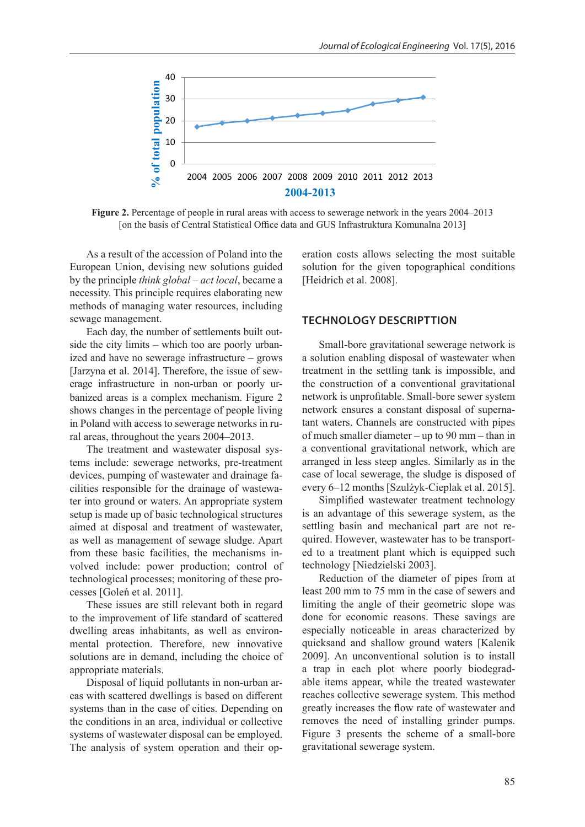

Figure 2. Percentage of people in rural areas with access to sewerage network in the years 2004–2013 [on the basis of Central Statistical Office data and GUS Infrastruktura Komunalna 2013]

As a result of the accession of Poland into the European Union, devising new solutions guided by the principle *think global – act local*, became a necessity. This principle requires elaborating new methods of managing water resources, including sewage management.

Each day, the number of settlements built outside the city limits – which too are poorly urbanized and have no sewerage infrastructure – grows [Jarzyna et al. 2014]. Therefore, the issue of sewerage infrastructure in non-urban or poorly urbanized areas is a complex mechanism. Figure 2 shows changes in the percentage of people living in Poland with access to sewerage networks in rural areas, throughout the years 2004–2013.

The treatment and wastewater disposal systems include: sewerage networks, pre-treatment devices, pumping of wastewater and drainage facilities responsible for the drainage of wastewater into ground or waters. An appropriate system setup is made up of basic technological structures aimed at disposal and treatment of wastewater, as well as management of sewage sludge. Apart from these basic facilities, the mechanisms involved include: power production; control of technological processes; monitoring of these processes [Goleń et al. 2011].

These issues are still relevant both in regard to the improvement of life standard of scattered dwelling areas inhabitants, as well as environmental protection. Therefore, new innovative solutions are in demand, including the choice of appropriate materials.

Disposal of liquid pollutants in non-urban areas with scattered dwellings is based on different systems than in the case of cities. Depending on the conditions in an area, individual or collective systems of wastewater disposal can be employed. The analysis of system operation and their operation costs allows selecting the most suitable solution for the given topographical conditions [Heidrich et al. 2008].

### **TECHNOLOGY DESCRIPTTION**

Small-bore gravitational sewerage network is a solution enabling disposal of wastewater when treatment in the settling tank is impossible, and the construction of a conventional gravitational network is unprofitable. Small-bore sewer system network ensures a constant disposal of supernatant waters. Channels are constructed with pipes of much smaller diameter – up to 90 mm – than in a conventional gravitational network, which are arranged in less steep angles. Similarly as in the case of local sewerage, the sludge is disposed of every 6–12 months [Szulżyk-Cieplak et al. 2015].

Simplified wastewater treatment technology is an advantage of this sewerage system, as the settling basin and mechanical part are not required. However, wastewater has to be transported to a treatment plant which is equipped such technology [Niedzielski 2003].

Reduction of the diameter of pipes from at least 200 mm to 75 mm in the case of sewers and limiting the angle of their geometric slope was done for economic reasons. These savings are especially noticeable in areas characterized by quicksand and shallow ground waters [Kalenik 2009]. An unconventional solution is to install a trap in each plot where poorly biodegradable items appear, while the treated wastewater reaches collective sewerage system. This method greatly increases the flow rate of wastewater and removes the need of installing grinder pumps. Figure 3 presents the scheme of a small-bore gravitational sewerage system.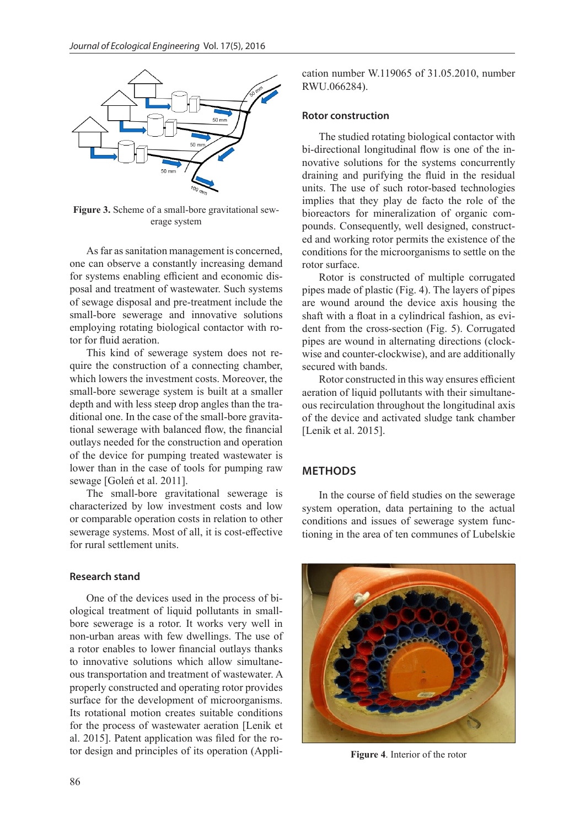

**Figure 3.** Scheme of a small-bore gravitational sewerage system

As far as sanitation management is concerned, one can observe a constantly increasing demand for systems enabling efficient and economic disposal and treatment of wastewater. Such systems of sewage disposal and pre-treatment include the small-bore sewerage and innovative solutions employing rotating biological contactor with rotor for fluid aeration.

This kind of sewerage system does not require the construction of a connecting chamber, which lowers the investment costs. Moreover, the small-bore sewerage system is built at a smaller depth and with less steep drop angles than the traditional one. In the case of the small-bore gravitational sewerage with balanced flow, the financial outlays needed for the construction and operation of the device for pumping treated wastewater is lower than in the case of tools for pumping raw sewage [Goleń et al. 2011].

The small-bore gravitational sewerage is characterized by low investment costs and low or comparable operation costs in relation to other sewerage systems. Most of all, it is cost-effective for rural settlement units.

# **Research stand**

One of the devices used in the process of biological treatment of liquid pollutants in smallbore sewerage is a rotor. It works very well in non-urban areas with few dwellings. The use of a rotor enables to lower financial outlays thanks to innovative solutions which allow simultaneous transportation and treatment of wastewater. A properly constructed and operating rotor provides surface for the development of microorganisms. Its rotational motion creates suitable conditions for the process of wastewater aeration [Lenik et al. 2015]. Patent application was filed for the rotor design and principles of its operation (Application number W.119065 of 31.05.2010, number RWU.066284).

#### **Rotor construction**

The studied rotating biological contactor with bi-directional longitudinal flow is one of the innovative solutions for the systems concurrently draining and purifying the fluid in the residual units. The use of such rotor-based technologies implies that they play de facto the role of the bioreactors for mineralization of organic compounds. Consequently, well designed, constructed and working rotor permits the existence of the conditions for the microorganisms to settle on the rotor surface.

Rotor is constructed of multiple corrugated pipes made of plastic (Fig. 4). The layers of pipes are wound around the device axis housing the shaft with a float in a cylindrical fashion, as evident from the cross-section (Fig. 5). Corrugated pipes are wound in alternating directions (clockwise and counter-clockwise), and are additionally secured with bands.

Rotor constructed in this way ensures efficient aeration of liquid pollutants with their simultaneous recirculation throughout the longitudinal axis of the device and activated sludge tank chamber [Lenik et al. 2015].

### **METHODS**

In the course of field studies on the sewerage system operation, data pertaining to the actual conditions and issues of sewerage system functioning in the area of ten communes of Lubelskie



**Figure 4**. Interior of the rotor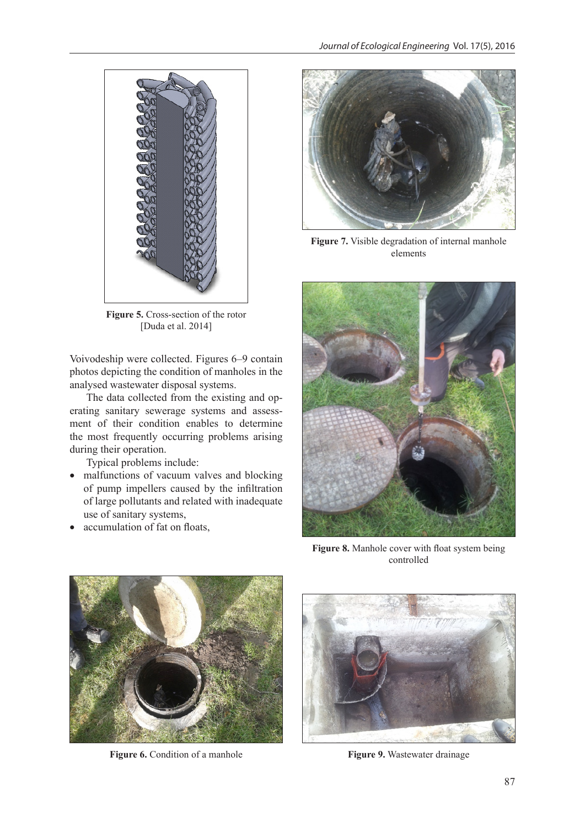

**Figure 5.** Cross-section of the rotor [Duda et al. 2014]

Voivodeship were collected. Figures 6–9 contain photos depicting the condition of manholes in the analysed wastewater disposal systems.

The data collected from the existing and operating sanitary sewerage systems and assessment of their condition enables to determine the most frequently occurring problems arising during their operation.

Typical problems include:

- malfunctions of vacuum valves and blocking of pump impellers caused by the infiltration of large pollutants and related with inadequate use of sanitary systems,
- accumulation of fat on floats,



**Figure 7.** Visible degradation of internal manhole elements



Figure 8. Manhole cover with float system being controlled



**Figure 6.** Condition of a manhole



**Figure 9.** Wastewater drainage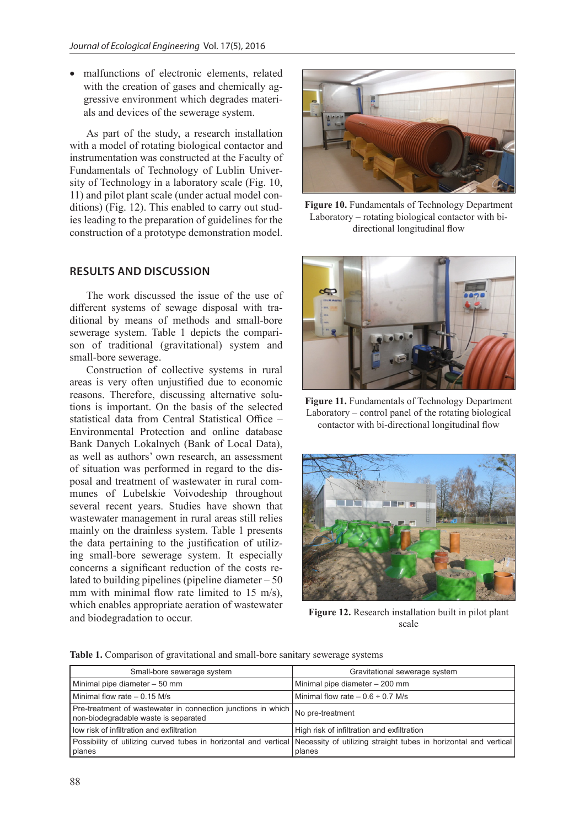• malfunctions of electronic elements, related with the creation of gases and chemically aggressive environment which degrades materials and devices of the sewerage system.

As part of the study, a research installation with a model of rotating biological contactor and instrumentation was constructed at the Faculty of Fundamentals of Technology of Lublin University of Technology in a laboratory scale (Fig. 10, 11) and pilot plant scale (under actual model conditions) (Fig. 12). This enabled to carry out studies leading to the preparation of guidelines for the construction of a prototype demonstration model.

# **RESULTS AND DISCUSSION**

The work discussed the issue of the use of different systems of sewage disposal with traditional by means of methods and small-bore sewerage system. Table 1 depicts the comparison of traditional (gravitational) system and small-bore sewerage.

Construction of collective systems in rural areas is very often unjustified due to economic reasons. Therefore, discussing alternative solutions is important. On the basis of the selected statistical data from Central Statistical Office – Environmental Protection and online database Bank Danych Lokalnych (Bank of Local Data), as well as authors' own research, an assessment of situation was performed in regard to the disposal and treatment of wastewater in rural communes of Lubelskie Voivodeship throughout several recent years. Studies have shown that wastewater management in rural areas still relies mainly on the drainless system. Table 1 presents the data pertaining to the justification of utilizing small-bore sewerage system. It especially concerns a significant reduction of the costs related to building pipelines (pipeline diameter  $-50$ mm with minimal flow rate limited to 15 m/s). which enables appropriate aeration of wastewater and biodegradation to occur.



**Figure 10.** Fundamentals of Technology Department Laboratory – rotating biological contactor with bidirectional longitudinal flow



**Figure 11.** Fundamentals of Technology Department Laboratory – control panel of the rotating biological contactor with bi-directional longitudinal flow



**Figure 12.** Research installation built in pilot plant scale

**Table 1.** Comparison of gravitational and small-bore sanitary sewerage systems

| Small-bore sewerage system                                                                             | Gravitational sewerage system                                                                                                     |
|--------------------------------------------------------------------------------------------------------|-----------------------------------------------------------------------------------------------------------------------------------|
| Minimal pipe diameter - 50 mm                                                                          | Minimal pipe diameter - 200 mm                                                                                                    |
| Minimal flow rate $- 0.15$ M/s                                                                         | Minimal flow rate $-0.6 \div 0.7$ M/s                                                                                             |
| Pre-treatment of wastewater in connection junctions in which  <br>non-biodegradable waste is separated | No pre-treatment                                                                                                                  |
| low risk of infiltration and exfiltration                                                              | High risk of infiltration and exfiltration                                                                                        |
|                                                                                                        | Possibility of utilizing curved tubes in horizontal and vertical Necessity of utilizing straight tubes in horizontal and vertical |
| planes                                                                                                 | planes                                                                                                                            |